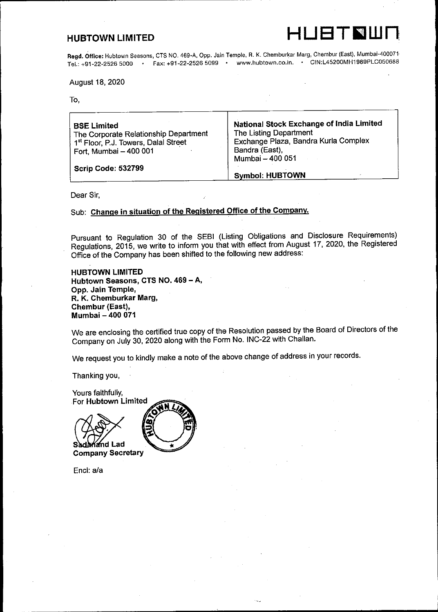HUBTOWN LIMITED LAT HUBTOWN LIMITED w.

Regd. Office: Hubtown Seasons, CTS NO. 469-A, Opp. Jain Temple, R. K. Chemburkar Marg, Chembur (East), Mumbai-400071<br>Tel.: +91-22-2526 5000 · Fax: +91-22-2526 5099 · www.hubtown.co.in. · CIN:L45200MH1989PLC050688 Tel.: +91-22-2526 5000  $\cdot$  Fax: +91-22-2526 5099  $\cdot$ **HUBTOWN LIMITED**<br> **Regd. Office:** Hubtown Seasons, CTS NO. 469-A, Opp. Jain Terpl.: +91-22-2526 5000<br>
Fel.: +91-22-2526 5000<br>
August 18, 2020<br>
To,

August 18, 2020

To,

| <b>BSE Limited</b><br>The Corporate Relationship Department<br>1 <sup>st</sup> Floor, P.J. Towers, Dalal Street<br>Fort, Mumbai - 400 001 | National Stock Exchange of India Limited<br>The Listing Department<br>Exchange Plaza, Bandra Kurla Complex<br>Bandra (East),<br>Mumbai - 400 051 |
|-------------------------------------------------------------------------------------------------------------------------------------------|--------------------------------------------------------------------------------------------------------------------------------------------------|
| <b>Scrip Code: 532799</b>                                                                                                                 | <b>Symbol: HUBTOWN</b>                                                                                                                           |

Dear Sir,

Sub: Change in situation of the Registered Office of the Company.

Pursuant to Regulation 30 of the SEBI (Listing Obligations and Disclosure Requirements) Regulations, 2015, we write to inform you that with effect from August 17, 2020, the Registered Office of the Company has been shifted to the following new address:

HUBTOWN LIMITED Hubtown Seasons, CTS NO. 469 - A, Opp. Jain Temple, R. K. Chemburkar Marg, Chembur (East), Mumbai - 400 071

We are enclosing the certified true copy of the Resolution passed by the Board of Directors of the Company on July 30, 2020 along with the Form No. INC-22 with Challan.

We request you to kindly make a note of the above change of address in your records.

Thanking you,



Company Secretary

Encl: a/a

 $\frac{1}{2}$  and  $\frac{1}{2}$  and  $\frac{1}{2}$  and  $\frac{1}{2}$  and  $\frac{1}{2}$  and  $\frac{1}{2}$  and  $\frac{1}{2}$  and  $\frac{1}{2}$  and  $\frac{1}{2}$  and  $\frac{1}{2}$  and  $\frac{1}{2}$  and  $\frac{1}{2}$  and  $\frac{1}{2}$  and  $\frac{1}{2}$  and  $\frac{1}{2}$  and  $\frac{1}{2}$  a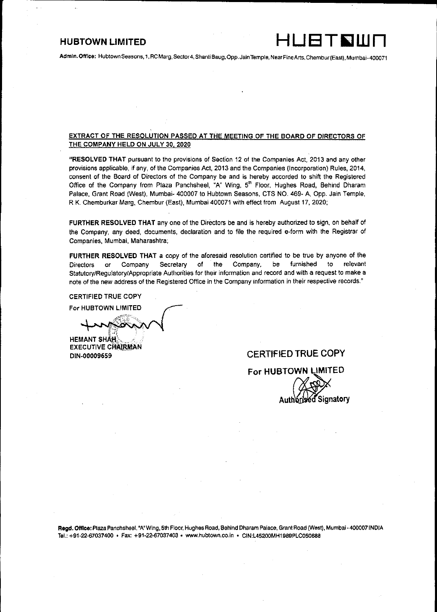### **HUBTOWN LIMITED**

<u> 1989 - Andrea Stadt Stadt Stadt Stadt Stadt Stadt Stadt Stadt Stadt Stadt Stadt Stadt Stadt Stadt Stadt Stadt</u>

## Admin. Office: Hubtown Seasons, 1, RC Marg, Sector4, Shanti 8aug, Opp. Jain Temple, NearFine Arts, Chembur (East), Mumbai- 400071

### EXTRACT OF THE RESOLUTION PASSED AT THE MEETING OF THE BOARD OF DIRECTORS OF THE COMPANY HELD ON JULY 30, 2020

"RESOLVED THAT pursuant to the provisions of Section 12 of the Companies Act, 2013 and any other provisions applicable, if any, of the Companies Act, 2013 and the Companies (Incorporation) Rules, 2014, consent of the Board of Directors of the Company be and is hereby accorded to shift the Registered Office of the Company from Plaza Panchsheel, "A" Wing, 5<sup>th</sup> Floor, Hughes Road, Behind Dharam Palace, Grant Road (West), Mumbai- 400007 to Hubtown Seasons, CTS NO. 469- A, Opp. Jain Temple, RK. Chemburkar Marg, Chembur (East), Mumbai 400071 with effect from August 17, 2020;

FURTHER RESOLVED THAT any one of the Directors be and is hereby authorized to sign, on behalf of the Company, any deed, documents, declaration and to file the required e-form with the Registrar of Companies, Mumbai, Maharashtra;

FURTHER RESOLVED THAT a copy of the aforesaid resolution certified to be true by anyone of the Directors or Company Secretary of the Company, be furnished to relevant Statutory/Requlatory/Appropriate Authorities for their information and record and with a request to make a note of the new address of the Registered Office in the Cornpany information in their respective records." **FURTHER RESOLVED TH.**<br>Directors or Company<br>Statutory/Regulatory/Approp<br>note of the new address of ti<br>CERTIFIED TRUE COPY<br>For HUBTOWN LIMITED

CERTIFIED TRUE COPY

HEMANT SHA<del>H</del><br>EXECUTIVE CHAIRMAN

### DIN-00009659 CERTIFIED TRUE COPY

For HUBTOWN LIMITED Signatory

Regd. Office: Plaza Panchsheel, "A" Wing, 5th Floor, Hughes Road, Behind Dharam Palace, Grant Road (West), Mumbai- 400007 INDIA Tel.: +91-22-67037400 + Fax: +91-22-67037403 « www.hubtown.co.in » CIN:L45200MH1989PLC050688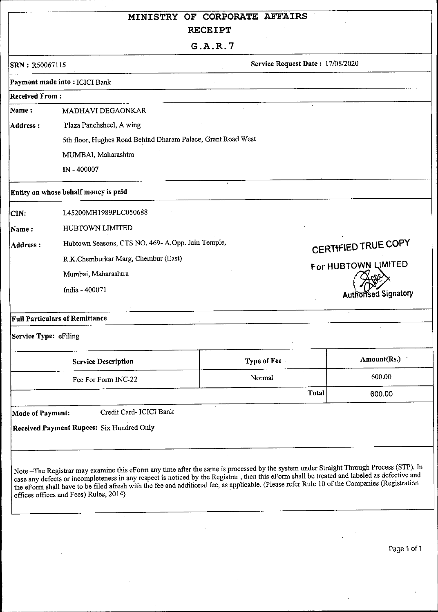# MINISTRY OF CORPORATE AFFAIRS RECEIPT MINISTRY OF CORRECEI MINISTRY OF CORRECEI MINISTRY OF COR<br>RECEI<br>G.A.F<br>SRN: R50067115<br>Payment made into : ICICI Bank

### Payment made into : ICICI Bank

MINISTRY OF COR<br>RECEI<br>G.A.F<br>SRN: R50067115<br>Payment made into : ICICI Bank<br>Received From : Received From : Name: MADHAVI DEGAONKAR Address : Plaza Panchsheel, A wing 5th floor, Hughes Road Behind Dharam Palace, Grant Road West MINISTRY OF COR<br>
RECEI<br>
G.A.F<br>
SRN: R50067115<br>
Payment made into: ICICI Bank<br>
Received From:<br>
Name: MADHAVI DEGAONKAR<br>
Address: Plaza Panchsheel, A wing<br>
5th floor, Hughes Road Behind Dharam Palace, Grant<br>
MUMBAI, Maharash MINISTRY OF COR<br>
RECEI<br>
G.A.F<br>
SRN: R50067115<br>
Payment made into: ICICI Bank<br>
Received From:<br>
Name: MADHAVI DEGAONKAR<br>
Address: Plaza Panchsheel, A wing<br>
5th floor, Hughes Road Behind Dharam Palace, Grant<br>
MUMBAI, Maharash MINISTRY OF COR<br>
RECEII<br>
G.A.R<br>
SRN: R50067115<br>
Payment made into : ICICI Bank<br>
Received From :<br>
MADHAVI DEGAONKAR<br>
Address : Plaza Panchsheel, A wing<br>
5th floor, Hughes Road Behind Dharam Palace, Grant<br>
MUMBAI, Maharashtr MINISTRY OF COR<br>
RECEII<br>
G. A. R<br>
SRN: R50067115<br>
Payment made into : ICICI Bank<br>
Received From :<br>
Name :<br>
MADHAVI DEGAONKAR<br>
Address :<br>
Plaza Panchsheel, A wing<br>
5th floor, Hughes Road Behind Dharam Palace, Grant<br>
MUMBA1, MINISTRY OF COR<br>
RECEII<br>
G. A. R<br>
SRN: R50067115<br>
Payment made into : ICICI Bank<br>
Received From :<br>
MaDHAVI DEGAONKAR<br>
Address : Plaza Panchsheel, A wing<br>
5th floor, Hughes Road Behind Dharam Palace, Grant<br>
MUMBAI, Maharash MINISTRY OF COR<br>
RECEII<br>
G.A.R<br>
SRN: R50067115<br>
Payment made into : ICICI Bank<br>
Received From :<br>
MADHAVI DEGAONKAR<br>
Address : Plaza Panchsheel, A wing<br>
5th floor, Hughes Road Behind Dharam Palace, Grant<br>
MUMBAI, Maharashtr MINISTRY OF CORRECEII<br>
G. A. R<br>
SEN : R50067115<br>
Fayment made into : ICICI Bank<br>
Received From :<br>
MADHAVI DEGAONKAR<br>
Materss : Plaza Panchsheel, A wing<br>
5th floor, Hughes Road Behind Dharam Palace, Grant<br>
MUMBAI, Maharasht

### Full Particulars of Remittance

| SRN: R50067115        |                                                              | G.A.R.7 |             | Service Request Date: 17/08/2020 |                      |
|-----------------------|--------------------------------------------------------------|---------|-------------|----------------------------------|----------------------|
|                       |                                                              |         |             |                                  |                      |
| <b>Received From:</b> | Payment made into: ICICI Bank                                |         |             |                                  |                      |
| Name:                 | MADHAVI DEGAONKAR                                            |         |             |                                  |                      |
| <b>Address:</b>       | Plaza Panchsheel, A wing                                     |         |             |                                  |                      |
|                       | 5th floor, Hughes Road Behind Dharam Palace, Grant Road West |         |             |                                  |                      |
|                       | MUMBAI, Maharashtra                                          |         |             |                                  |                      |
|                       | IN - 400007                                                  |         |             |                                  |                      |
|                       | Entity on whose behalf money is paid                         |         |             |                                  |                      |
| CIN:                  | L45200MH1989PLC050688                                        |         |             |                                  |                      |
| Name:                 | HUBTOWN LIMITED                                              |         |             |                                  |                      |
| <b>Address:</b>       | Hubtown Seasons, CTS NO. 469- A, Opp. Jain Temple,           |         |             |                                  | CERTIFIED TRUE COPY  |
|                       | R.K.Chemburkar Marg, Chembur (East)                          |         |             |                                  | For HUBTOWN LIMITED  |
|                       | Mumbai, Maharashtra                                          |         |             |                                  |                      |
|                       | India - 400071                                               |         |             |                                  | Authorised Signatory |
|                       | <b>Full Particulars of Remittance</b>                        |         |             |                                  |                      |
| Service Type: eFiling |                                                              |         |             |                                  |                      |
|                       | <b>Service Description</b>                                   |         | Type of Fee |                                  | Amount(Rs.)          |
|                       | Fee For Form INC-22                                          |         | Normal      |                                  | 600.00               |
|                       |                                                              |         |             | <b>Total</b>                     |                      |
|                       |                                                              |         |             |                                  | 600.00               |
| Mode of Payment:      | Credit Card- ICICI Bank                                      |         |             |                                  |                      |
|                       | <b>Received Payment Rupees: Six Hundred Only</b>             |         |             |                                  |                      |

<u> 1999 - Johann John Barnett, fransk konge</u>

> Page 1 of 1 Page 1 of 1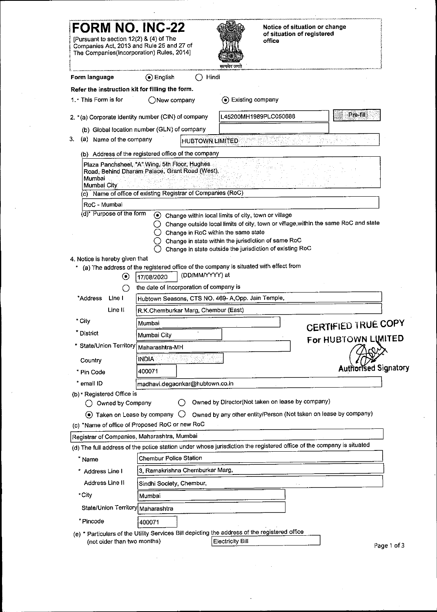|                                                  | <b>FORM NO. INC-22</b>                                                                 | Notice of situation or change                                                                                                                |                            |
|--------------------------------------------------|----------------------------------------------------------------------------------------|----------------------------------------------------------------------------------------------------------------------------------------------|----------------------------|
|                                                  | [Pursuant to section 12(2) & (4) of The                                                | of situation of registered<br>office                                                                                                         |                            |
|                                                  | Companies Act, 2013 and Rule 25 and 27 of<br>The Companies(Incorporation) Rules, 2014] |                                                                                                                                              |                            |
|                                                  |                                                                                        | सत्यमेव जयते                                                                                                                                 |                            |
| Form language                                    | ⊙ English<br>Refer the instruction kit for filling the form.                           | Hindi                                                                                                                                        |                            |
| 1.* This Form is for                             | ONew company                                                                           | (a) Existing company                                                                                                                         |                            |
|                                                  | 2. * (a) Corporate identity number (CIN) of company                                    | L45200MH1989PLC050688                                                                                                                        | Pre-fill                   |
|                                                  | (b) Global location number (GLN) of company                                            |                                                                                                                                              |                            |
| 3.<br>Name of the company<br>(a)                 |                                                                                        | <b>HUBTOWN LIMITED</b>                                                                                                                       |                            |
| Mumbai City<br>RoC - Mumbai                      | (c) Name of office of existing Registrar of Companies (RoC)                            |                                                                                                                                              |                            |
| (d)* Purpose of the form                         |                                                                                        |                                                                                                                                              |                            |
|                                                  | O                                                                                      | ⊙ Change within local limits of city, town or village<br>Change outside local limits of city, town or village, within the same RoC and state |                            |
|                                                  |                                                                                        | Change in RoC within the same state                                                                                                          |                            |
|                                                  | O.                                                                                     | Change in state within the jurisdiction of same RoC<br>Change in state outside the jurisdiction of existing RoC                              |                            |
| 4. Notice is hereby given that                   |                                                                                        | * (a) The address of the registered office of the company is situated with effect from                                                       |                            |
|                                                  | (DD/MM/YYYY) at<br>$\odot$<br>17/08/2020                                               |                                                                                                                                              |                            |
| *Address<br>Line I                               | the date of incorporation of company is<br>()                                          | Hubtown Seasons, CTS NO. 469- A, Opp. Jain Temple,                                                                                           |                            |
| Line II                                          | R.K.Chemburkar Marg, Chembur (East)                                                    |                                                                                                                                              |                            |
| * City                                           | Mumbai                                                                                 |                                                                                                                                              | <b>CERTIFIED TRUE COPY</b> |
| * District                                       | Mumbai City<br>* State/Union Territory   Maharashtra-MH                                |                                                                                                                                              | For HUBTOWN LIMITED        |
| Country                                          | <b>INDIA</b>                                                                           |                                                                                                                                              |                            |
| * Pin Code                                       | 400071                                                                                 |                                                                                                                                              | Authorised Signatory       |
| * email ID                                       | madhavi.degaonkar@hubtown.co.in                                                        |                                                                                                                                              |                            |
| (b) * Registered Office is<br>◯ Owned by Company | 0                                                                                      | Owned by Director(Not taken on lease by company)                                                                                             |                            |
|                                                  | $\odot$ Taken on Lease by company $\bigcirc$                                           | Owned by any other entity/Person (Not taken on lease by company)                                                                             |                            |
|                                                  | (c) *Name of office of Proposed RoC or new RoC                                         |                                                                                                                                              |                            |
|                                                  | Registrar of Companies, Maharashtra, Mumbai                                            | (d) The full address of the police station under whose jurisdiction the registered office of the company is situated                         |                            |
| * Name                                           | Chembur Police Station                                                                 |                                                                                                                                              |                            |
| * Address Line I                                 | 3, Ramakrishna Chemburkar Marg,                                                        |                                                                                                                                              |                            |
| Address Line II<br>*City                         | Sindhi Society, Chembur,<br>Mumbai                                                     |                                                                                                                                              |                            |
|                                                  | State/Union Territory Maharashtra                                                      |                                                                                                                                              |                            |
| * Pincode                                        | 400071                                                                                 |                                                                                                                                              |                            |
|                                                  |                                                                                        | (e) * Particulars of the Utility Services Bill depicting the address of the registered office                                                |                            |
|                                                  | (not older than two months)                                                            | <b>Electricity Bill</b>                                                                                                                      | Page 1 of 3                |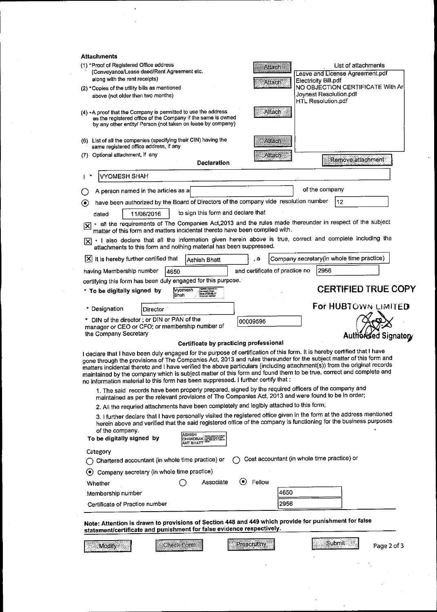| <b>Attachments</b><br>(1) *Proof of Registered Office address<br>List of attachments<br>Attach<br>(Conveyance/Lease deed/Rent Agreement etc.<br>Leave and License Agreement.pdf<br>along with the rent receipts)<br><b>Electricity Bill pdf</b><br>Attach -<br>NO OBJECTION CERTIFICATE With Art<br>(2) * Copies of the utility bills as mentioned<br>Joynest Resolution.pdf<br>above (not older than two months)<br>HTL Resolution.pdf<br><b>Attach</b><br>$(4)$ *A proof that the Company is permitted to use the address<br>as the registered office of the Company if the same is owned<br>by any other entity/ Person (not taken on lease by company)<br>(6) List of all the companies (specifying their CIN) having the<br>Atlach<br>same registered office address, if any<br>(7) Optional attachment, if any<br>Atlach<br>Remove attachment<br><b>Declaration</b><br>VYOMESH SHAH<br>of the company<br>A person named in the articles as a<br>have been authorized by the Board of Directors of the company vide resolution number<br>12<br>$(\bullet)$<br>to sign this form and declare that<br>11/06/2016<br>dated<br>* all the requirements of The Companies Act, 2013 and the rules made thereunder in respect of the subject<br>冈<br>matter of this form and matters incidental thereto have been complied with.<br>* I also declare that all the information given herein above is true, correct and complete including the<br>IXI<br>attachments to this form and nothing material has been suppressed.<br>Company secretary (in whole time practice)<br>It is hereby further certified that<br>ļХI<br>, а<br>Ashish Bhatt<br>and certificate of practice no<br>2956<br>having Membership number<br>4650<br>certifying this form has been duly engaged for this purpose.<br>CERTIFIED TRUE COPY<br>To be digitally signed by Wyomesh<br>Data: 2020.08.17<br>10:57:52 +00:30<br><b>¦</b> Shah<br>For HUBTOWN LIMITED<br>* Designation<br>Director<br>* DIN of the director; or DIN or PAN of the<br>00009596<br>manager or CEO or CFO; or membership number of<br>the Company Secretary<br>Authorised Signatory<br>Certificate by practicing professional<br>I declare that I have been duly engaged for the purpose of certification of this form. It is hereby certified that I have<br>gone through the provisions of The Companies Act, 2013 and rules thereunder for the subject matter of this form and<br>matters incidental thereto and I have verified the above particulars (including attachment(s)) from the original records<br>maintained by the company which is subject matter of this form and found them to be true, correct and complete and<br>no information material to this form has been suppressed. I further certify that :<br>1. The said records have been properly prepared, signed by the required officers of the company and<br>maintained as per the relevant provisions of The Companies Act, 2013 and were found to be in order;<br>2. All the requried attachments have been completely and legibly attached to this form;<br>3. I further declare that I have personally visited the registered office given in the form at the address mentioned<br>herein above and verified that the said registered office of the company is functioning for the business purposes<br>of the company.<br>ASHISH<br><b>CHANDRAK SHOWSHARE</b><br>To be digitally signed by<br>ANT BHATT<br>Category<br>Cost accountant (in whole time practice) or<br>Chartered accountant (in whole time practice) or<br>Company secretary (in whole time practice)<br>$\left( \bullet \right)$<br>◉<br>Fellow<br>Associate<br>Whether<br>4650<br>Membership number<br>2956<br>Certificate of Practice number<br>Note: Attention is drawn to provisions of Section 448 and 449 which provide for punishment for false<br>statement/certificate and punishment for false evidence respectively.<br>Submit<br>Prescrutiny<br><b>Check Form</b><br>Page 2 of 3<br>Modify |  |  |  |
|----------------------------------------------------------------------------------------------------------------------------------------------------------------------------------------------------------------------------------------------------------------------------------------------------------------------------------------------------------------------------------------------------------------------------------------------------------------------------------------------------------------------------------------------------------------------------------------------------------------------------------------------------------------------------------------------------------------------------------------------------------------------------------------------------------------------------------------------------------------------------------------------------------------------------------------------------------------------------------------------------------------------------------------------------------------------------------------------------------------------------------------------------------------------------------------------------------------------------------------------------------------------------------------------------------------------------------------------------------------------------------------------------------------------------------------------------------------------------------------------------------------------------------------------------------------------------------------------------------------------------------------------------------------------------------------------------------------------------------------------------------------------------------------------------------------------------------------------------------------------------------------------------------------------------------------------------------------------------------------------------------------------------------------------------------------------------------------------------------------------------------------------------------------------------------------------------------------------------------------------------------------------------------------------------------------------------------------------------------------------------------------------------------------------------------------------------------------------------------------------------------------------------------------------------------------------------------------------------------------------------------------------------------------------------------------------------------------------------------------------------------------------------------------------------------------------------------------------------------------------------------------------------------------------------------------------------------------------------------------------------------------------------------------------------------------------------------------------------------------------------------------------------------------------------------------------------------------------------------------------------------------------------------------------------------------------------------------------------------------------------------------------------------------------------------------------------------------------------------------------------------------------------------------------------------------------------------------------------------------------------------------------------------------------------------------------------------------------------------------------------------------------------------------------------------------------------------------------------------------------------------------------------------------------------------------------------------------------------------------------|--|--|--|
|                                                                                                                                                                                                                                                                                                                                                                                                                                                                                                                                                                                                                                                                                                                                                                                                                                                                                                                                                                                                                                                                                                                                                                                                                                                                                                                                                                                                                                                                                                                                                                                                                                                                                                                                                                                                                                                                                                                                                                                                                                                                                                                                                                                                                                                                                                                                                                                                                                                                                                                                                                                                                                                                                                                                                                                                                                                                                                                                                                                                                                                                                                                                                                                                                                                                                                                                                                                                                                                                                                                                                                                                                                                                                                                                                                                                                                                                                                                                                                                              |  |  |  |
|                                                                                                                                                                                                                                                                                                                                                                                                                                                                                                                                                                                                                                                                                                                                                                                                                                                                                                                                                                                                                                                                                                                                                                                                                                                                                                                                                                                                                                                                                                                                                                                                                                                                                                                                                                                                                                                                                                                                                                                                                                                                                                                                                                                                                                                                                                                                                                                                                                                                                                                                                                                                                                                                                                                                                                                                                                                                                                                                                                                                                                                                                                                                                                                                                                                                                                                                                                                                                                                                                                                                                                                                                                                                                                                                                                                                                                                                                                                                                                                              |  |  |  |
|                                                                                                                                                                                                                                                                                                                                                                                                                                                                                                                                                                                                                                                                                                                                                                                                                                                                                                                                                                                                                                                                                                                                                                                                                                                                                                                                                                                                                                                                                                                                                                                                                                                                                                                                                                                                                                                                                                                                                                                                                                                                                                                                                                                                                                                                                                                                                                                                                                                                                                                                                                                                                                                                                                                                                                                                                                                                                                                                                                                                                                                                                                                                                                                                                                                                                                                                                                                                                                                                                                                                                                                                                                                                                                                                                                                                                                                                                                                                                                                              |  |  |  |
|                                                                                                                                                                                                                                                                                                                                                                                                                                                                                                                                                                                                                                                                                                                                                                                                                                                                                                                                                                                                                                                                                                                                                                                                                                                                                                                                                                                                                                                                                                                                                                                                                                                                                                                                                                                                                                                                                                                                                                                                                                                                                                                                                                                                                                                                                                                                                                                                                                                                                                                                                                                                                                                                                                                                                                                                                                                                                                                                                                                                                                                                                                                                                                                                                                                                                                                                                                                                                                                                                                                                                                                                                                                                                                                                                                                                                                                                                                                                                                                              |  |  |  |
|                                                                                                                                                                                                                                                                                                                                                                                                                                                                                                                                                                                                                                                                                                                                                                                                                                                                                                                                                                                                                                                                                                                                                                                                                                                                                                                                                                                                                                                                                                                                                                                                                                                                                                                                                                                                                                                                                                                                                                                                                                                                                                                                                                                                                                                                                                                                                                                                                                                                                                                                                                                                                                                                                                                                                                                                                                                                                                                                                                                                                                                                                                                                                                                                                                                                                                                                                                                                                                                                                                                                                                                                                                                                                                                                                                                                                                                                                                                                                                                              |  |  |  |
|                                                                                                                                                                                                                                                                                                                                                                                                                                                                                                                                                                                                                                                                                                                                                                                                                                                                                                                                                                                                                                                                                                                                                                                                                                                                                                                                                                                                                                                                                                                                                                                                                                                                                                                                                                                                                                                                                                                                                                                                                                                                                                                                                                                                                                                                                                                                                                                                                                                                                                                                                                                                                                                                                                                                                                                                                                                                                                                                                                                                                                                                                                                                                                                                                                                                                                                                                                                                                                                                                                                                                                                                                                                                                                                                                                                                                                                                                                                                                                                              |  |  |  |
|                                                                                                                                                                                                                                                                                                                                                                                                                                                                                                                                                                                                                                                                                                                                                                                                                                                                                                                                                                                                                                                                                                                                                                                                                                                                                                                                                                                                                                                                                                                                                                                                                                                                                                                                                                                                                                                                                                                                                                                                                                                                                                                                                                                                                                                                                                                                                                                                                                                                                                                                                                                                                                                                                                                                                                                                                                                                                                                                                                                                                                                                                                                                                                                                                                                                                                                                                                                                                                                                                                                                                                                                                                                                                                                                                                                                                                                                                                                                                                                              |  |  |  |
|                                                                                                                                                                                                                                                                                                                                                                                                                                                                                                                                                                                                                                                                                                                                                                                                                                                                                                                                                                                                                                                                                                                                                                                                                                                                                                                                                                                                                                                                                                                                                                                                                                                                                                                                                                                                                                                                                                                                                                                                                                                                                                                                                                                                                                                                                                                                                                                                                                                                                                                                                                                                                                                                                                                                                                                                                                                                                                                                                                                                                                                                                                                                                                                                                                                                                                                                                                                                                                                                                                                                                                                                                                                                                                                                                                                                                                                                                                                                                                                              |  |  |  |
|                                                                                                                                                                                                                                                                                                                                                                                                                                                                                                                                                                                                                                                                                                                                                                                                                                                                                                                                                                                                                                                                                                                                                                                                                                                                                                                                                                                                                                                                                                                                                                                                                                                                                                                                                                                                                                                                                                                                                                                                                                                                                                                                                                                                                                                                                                                                                                                                                                                                                                                                                                                                                                                                                                                                                                                                                                                                                                                                                                                                                                                                                                                                                                                                                                                                                                                                                                                                                                                                                                                                                                                                                                                                                                                                                                                                                                                                                                                                                                                              |  |  |  |
|                                                                                                                                                                                                                                                                                                                                                                                                                                                                                                                                                                                                                                                                                                                                                                                                                                                                                                                                                                                                                                                                                                                                                                                                                                                                                                                                                                                                                                                                                                                                                                                                                                                                                                                                                                                                                                                                                                                                                                                                                                                                                                                                                                                                                                                                                                                                                                                                                                                                                                                                                                                                                                                                                                                                                                                                                                                                                                                                                                                                                                                                                                                                                                                                                                                                                                                                                                                                                                                                                                                                                                                                                                                                                                                                                                                                                                                                                                                                                                                              |  |  |  |
|                                                                                                                                                                                                                                                                                                                                                                                                                                                                                                                                                                                                                                                                                                                                                                                                                                                                                                                                                                                                                                                                                                                                                                                                                                                                                                                                                                                                                                                                                                                                                                                                                                                                                                                                                                                                                                                                                                                                                                                                                                                                                                                                                                                                                                                                                                                                                                                                                                                                                                                                                                                                                                                                                                                                                                                                                                                                                                                                                                                                                                                                                                                                                                                                                                                                                                                                                                                                                                                                                                                                                                                                                                                                                                                                                                                                                                                                                                                                                                                              |  |  |  |
|                                                                                                                                                                                                                                                                                                                                                                                                                                                                                                                                                                                                                                                                                                                                                                                                                                                                                                                                                                                                                                                                                                                                                                                                                                                                                                                                                                                                                                                                                                                                                                                                                                                                                                                                                                                                                                                                                                                                                                                                                                                                                                                                                                                                                                                                                                                                                                                                                                                                                                                                                                                                                                                                                                                                                                                                                                                                                                                                                                                                                                                                                                                                                                                                                                                                                                                                                                                                                                                                                                                                                                                                                                                                                                                                                                                                                                                                                                                                                                                              |  |  |  |
|                                                                                                                                                                                                                                                                                                                                                                                                                                                                                                                                                                                                                                                                                                                                                                                                                                                                                                                                                                                                                                                                                                                                                                                                                                                                                                                                                                                                                                                                                                                                                                                                                                                                                                                                                                                                                                                                                                                                                                                                                                                                                                                                                                                                                                                                                                                                                                                                                                                                                                                                                                                                                                                                                                                                                                                                                                                                                                                                                                                                                                                                                                                                                                                                                                                                                                                                                                                                                                                                                                                                                                                                                                                                                                                                                                                                                                                                                                                                                                                              |  |  |  |
|                                                                                                                                                                                                                                                                                                                                                                                                                                                                                                                                                                                                                                                                                                                                                                                                                                                                                                                                                                                                                                                                                                                                                                                                                                                                                                                                                                                                                                                                                                                                                                                                                                                                                                                                                                                                                                                                                                                                                                                                                                                                                                                                                                                                                                                                                                                                                                                                                                                                                                                                                                                                                                                                                                                                                                                                                                                                                                                                                                                                                                                                                                                                                                                                                                                                                                                                                                                                                                                                                                                                                                                                                                                                                                                                                                                                                                                                                                                                                                                              |  |  |  |
|                                                                                                                                                                                                                                                                                                                                                                                                                                                                                                                                                                                                                                                                                                                                                                                                                                                                                                                                                                                                                                                                                                                                                                                                                                                                                                                                                                                                                                                                                                                                                                                                                                                                                                                                                                                                                                                                                                                                                                                                                                                                                                                                                                                                                                                                                                                                                                                                                                                                                                                                                                                                                                                                                                                                                                                                                                                                                                                                                                                                                                                                                                                                                                                                                                                                                                                                                                                                                                                                                                                                                                                                                                                                                                                                                                                                                                                                                                                                                                                              |  |  |  |
|                                                                                                                                                                                                                                                                                                                                                                                                                                                                                                                                                                                                                                                                                                                                                                                                                                                                                                                                                                                                                                                                                                                                                                                                                                                                                                                                                                                                                                                                                                                                                                                                                                                                                                                                                                                                                                                                                                                                                                                                                                                                                                                                                                                                                                                                                                                                                                                                                                                                                                                                                                                                                                                                                                                                                                                                                                                                                                                                                                                                                                                                                                                                                                                                                                                                                                                                                                                                                                                                                                                                                                                                                                                                                                                                                                                                                                                                                                                                                                                              |  |  |  |
|                                                                                                                                                                                                                                                                                                                                                                                                                                                                                                                                                                                                                                                                                                                                                                                                                                                                                                                                                                                                                                                                                                                                                                                                                                                                                                                                                                                                                                                                                                                                                                                                                                                                                                                                                                                                                                                                                                                                                                                                                                                                                                                                                                                                                                                                                                                                                                                                                                                                                                                                                                                                                                                                                                                                                                                                                                                                                                                                                                                                                                                                                                                                                                                                                                                                                                                                                                                                                                                                                                                                                                                                                                                                                                                                                                                                                                                                                                                                                                                              |  |  |  |
|                                                                                                                                                                                                                                                                                                                                                                                                                                                                                                                                                                                                                                                                                                                                                                                                                                                                                                                                                                                                                                                                                                                                                                                                                                                                                                                                                                                                                                                                                                                                                                                                                                                                                                                                                                                                                                                                                                                                                                                                                                                                                                                                                                                                                                                                                                                                                                                                                                                                                                                                                                                                                                                                                                                                                                                                                                                                                                                                                                                                                                                                                                                                                                                                                                                                                                                                                                                                                                                                                                                                                                                                                                                                                                                                                                                                                                                                                                                                                                                              |  |  |  |
|                                                                                                                                                                                                                                                                                                                                                                                                                                                                                                                                                                                                                                                                                                                                                                                                                                                                                                                                                                                                                                                                                                                                                                                                                                                                                                                                                                                                                                                                                                                                                                                                                                                                                                                                                                                                                                                                                                                                                                                                                                                                                                                                                                                                                                                                                                                                                                                                                                                                                                                                                                                                                                                                                                                                                                                                                                                                                                                                                                                                                                                                                                                                                                                                                                                                                                                                                                                                                                                                                                                                                                                                                                                                                                                                                                                                                                                                                                                                                                                              |  |  |  |
|                                                                                                                                                                                                                                                                                                                                                                                                                                                                                                                                                                                                                                                                                                                                                                                                                                                                                                                                                                                                                                                                                                                                                                                                                                                                                                                                                                                                                                                                                                                                                                                                                                                                                                                                                                                                                                                                                                                                                                                                                                                                                                                                                                                                                                                                                                                                                                                                                                                                                                                                                                                                                                                                                                                                                                                                                                                                                                                                                                                                                                                                                                                                                                                                                                                                                                                                                                                                                                                                                                                                                                                                                                                                                                                                                                                                                                                                                                                                                                                              |  |  |  |
|                                                                                                                                                                                                                                                                                                                                                                                                                                                                                                                                                                                                                                                                                                                                                                                                                                                                                                                                                                                                                                                                                                                                                                                                                                                                                                                                                                                                                                                                                                                                                                                                                                                                                                                                                                                                                                                                                                                                                                                                                                                                                                                                                                                                                                                                                                                                                                                                                                                                                                                                                                                                                                                                                                                                                                                                                                                                                                                                                                                                                                                                                                                                                                                                                                                                                                                                                                                                                                                                                                                                                                                                                                                                                                                                                                                                                                                                                                                                                                                              |  |  |  |
|                                                                                                                                                                                                                                                                                                                                                                                                                                                                                                                                                                                                                                                                                                                                                                                                                                                                                                                                                                                                                                                                                                                                                                                                                                                                                                                                                                                                                                                                                                                                                                                                                                                                                                                                                                                                                                                                                                                                                                                                                                                                                                                                                                                                                                                                                                                                                                                                                                                                                                                                                                                                                                                                                                                                                                                                                                                                                                                                                                                                                                                                                                                                                                                                                                                                                                                                                                                                                                                                                                                                                                                                                                                                                                                                                                                                                                                                                                                                                                                              |  |  |  |
|                                                                                                                                                                                                                                                                                                                                                                                                                                                                                                                                                                                                                                                                                                                                                                                                                                                                                                                                                                                                                                                                                                                                                                                                                                                                                                                                                                                                                                                                                                                                                                                                                                                                                                                                                                                                                                                                                                                                                                                                                                                                                                                                                                                                                                                                                                                                                                                                                                                                                                                                                                                                                                                                                                                                                                                                                                                                                                                                                                                                                                                                                                                                                                                                                                                                                                                                                                                                                                                                                                                                                                                                                                                                                                                                                                                                                                                                                                                                                                                              |  |  |  |
|                                                                                                                                                                                                                                                                                                                                                                                                                                                                                                                                                                                                                                                                                                                                                                                                                                                                                                                                                                                                                                                                                                                                                                                                                                                                                                                                                                                                                                                                                                                                                                                                                                                                                                                                                                                                                                                                                                                                                                                                                                                                                                                                                                                                                                                                                                                                                                                                                                                                                                                                                                                                                                                                                                                                                                                                                                                                                                                                                                                                                                                                                                                                                                                                                                                                                                                                                                                                                                                                                                                                                                                                                                                                                                                                                                                                                                                                                                                                                                                              |  |  |  |
|                                                                                                                                                                                                                                                                                                                                                                                                                                                                                                                                                                                                                                                                                                                                                                                                                                                                                                                                                                                                                                                                                                                                                                                                                                                                                                                                                                                                                                                                                                                                                                                                                                                                                                                                                                                                                                                                                                                                                                                                                                                                                                                                                                                                                                                                                                                                                                                                                                                                                                                                                                                                                                                                                                                                                                                                                                                                                                                                                                                                                                                                                                                                                                                                                                                                                                                                                                                                                                                                                                                                                                                                                                                                                                                                                                                                                                                                                                                                                                                              |  |  |  |
|                                                                                                                                                                                                                                                                                                                                                                                                                                                                                                                                                                                                                                                                                                                                                                                                                                                                                                                                                                                                                                                                                                                                                                                                                                                                                                                                                                                                                                                                                                                                                                                                                                                                                                                                                                                                                                                                                                                                                                                                                                                                                                                                                                                                                                                                                                                                                                                                                                                                                                                                                                                                                                                                                                                                                                                                                                                                                                                                                                                                                                                                                                                                                                                                                                                                                                                                                                                                                                                                                                                                                                                                                                                                                                                                                                                                                                                                                                                                                                                              |  |  |  |
|                                                                                                                                                                                                                                                                                                                                                                                                                                                                                                                                                                                                                                                                                                                                                                                                                                                                                                                                                                                                                                                                                                                                                                                                                                                                                                                                                                                                                                                                                                                                                                                                                                                                                                                                                                                                                                                                                                                                                                                                                                                                                                                                                                                                                                                                                                                                                                                                                                                                                                                                                                                                                                                                                                                                                                                                                                                                                                                                                                                                                                                                                                                                                                                                                                                                                                                                                                                                                                                                                                                                                                                                                                                                                                                                                                                                                                                                                                                                                                                              |  |  |  |
|                                                                                                                                                                                                                                                                                                                                                                                                                                                                                                                                                                                                                                                                                                                                                                                                                                                                                                                                                                                                                                                                                                                                                                                                                                                                                                                                                                                                                                                                                                                                                                                                                                                                                                                                                                                                                                                                                                                                                                                                                                                                                                                                                                                                                                                                                                                                                                                                                                                                                                                                                                                                                                                                                                                                                                                                                                                                                                                                                                                                                                                                                                                                                                                                                                                                                                                                                                                                                                                                                                                                                                                                                                                                                                                                                                                                                                                                                                                                                                                              |  |  |  |
|                                                                                                                                                                                                                                                                                                                                                                                                                                                                                                                                                                                                                                                                                                                                                                                                                                                                                                                                                                                                                                                                                                                                                                                                                                                                                                                                                                                                                                                                                                                                                                                                                                                                                                                                                                                                                                                                                                                                                                                                                                                                                                                                                                                                                                                                                                                                                                                                                                                                                                                                                                                                                                                                                                                                                                                                                                                                                                                                                                                                                                                                                                                                                                                                                                                                                                                                                                                                                                                                                                                                                                                                                                                                                                                                                                                                                                                                                                                                                                                              |  |  |  |
|                                                                                                                                                                                                                                                                                                                                                                                                                                                                                                                                                                                                                                                                                                                                                                                                                                                                                                                                                                                                                                                                                                                                                                                                                                                                                                                                                                                                                                                                                                                                                                                                                                                                                                                                                                                                                                                                                                                                                                                                                                                                                                                                                                                                                                                                                                                                                                                                                                                                                                                                                                                                                                                                                                                                                                                                                                                                                                                                                                                                                                                                                                                                                                                                                                                                                                                                                                                                                                                                                                                                                                                                                                                                                                                                                                                                                                                                                                                                                                                              |  |  |  |
|                                                                                                                                                                                                                                                                                                                                                                                                                                                                                                                                                                                                                                                                                                                                                                                                                                                                                                                                                                                                                                                                                                                                                                                                                                                                                                                                                                                                                                                                                                                                                                                                                                                                                                                                                                                                                                                                                                                                                                                                                                                                                                                                                                                                                                                                                                                                                                                                                                                                                                                                                                                                                                                                                                                                                                                                                                                                                                                                                                                                                                                                                                                                                                                                                                                                                                                                                                                                                                                                                                                                                                                                                                                                                                                                                                                                                                                                                                                                                                                              |  |  |  |
|                                                                                                                                                                                                                                                                                                                                                                                                                                                                                                                                                                                                                                                                                                                                                                                                                                                                                                                                                                                                                                                                                                                                                                                                                                                                                                                                                                                                                                                                                                                                                                                                                                                                                                                                                                                                                                                                                                                                                                                                                                                                                                                                                                                                                                                                                                                                                                                                                                                                                                                                                                                                                                                                                                                                                                                                                                                                                                                                                                                                                                                                                                                                                                                                                                                                                                                                                                                                                                                                                                                                                                                                                                                                                                                                                                                                                                                                                                                                                                                              |  |  |  |
|                                                                                                                                                                                                                                                                                                                                                                                                                                                                                                                                                                                                                                                                                                                                                                                                                                                                                                                                                                                                                                                                                                                                                                                                                                                                                                                                                                                                                                                                                                                                                                                                                                                                                                                                                                                                                                                                                                                                                                                                                                                                                                                                                                                                                                                                                                                                                                                                                                                                                                                                                                                                                                                                                                                                                                                                                                                                                                                                                                                                                                                                                                                                                                                                                                                                                                                                                                                                                                                                                                                                                                                                                                                                                                                                                                                                                                                                                                                                                                                              |  |  |  |
|                                                                                                                                                                                                                                                                                                                                                                                                                                                                                                                                                                                                                                                                                                                                                                                                                                                                                                                                                                                                                                                                                                                                                                                                                                                                                                                                                                                                                                                                                                                                                                                                                                                                                                                                                                                                                                                                                                                                                                                                                                                                                                                                                                                                                                                                                                                                                                                                                                                                                                                                                                                                                                                                                                                                                                                                                                                                                                                                                                                                                                                                                                                                                                                                                                                                                                                                                                                                                                                                                                                                                                                                                                                                                                                                                                                                                                                                                                                                                                                              |  |  |  |
|                                                                                                                                                                                                                                                                                                                                                                                                                                                                                                                                                                                                                                                                                                                                                                                                                                                                                                                                                                                                                                                                                                                                                                                                                                                                                                                                                                                                                                                                                                                                                                                                                                                                                                                                                                                                                                                                                                                                                                                                                                                                                                                                                                                                                                                                                                                                                                                                                                                                                                                                                                                                                                                                                                                                                                                                                                                                                                                                                                                                                                                                                                                                                                                                                                                                                                                                                                                                                                                                                                                                                                                                                                                                                                                                                                                                                                                                                                                                                                                              |  |  |  |
|                                                                                                                                                                                                                                                                                                                                                                                                                                                                                                                                                                                                                                                                                                                                                                                                                                                                                                                                                                                                                                                                                                                                                                                                                                                                                                                                                                                                                                                                                                                                                                                                                                                                                                                                                                                                                                                                                                                                                                                                                                                                                                                                                                                                                                                                                                                                                                                                                                                                                                                                                                                                                                                                                                                                                                                                                                                                                                                                                                                                                                                                                                                                                                                                                                                                                                                                                                                                                                                                                                                                                                                                                                                                                                                                                                                                                                                                                                                                                                                              |  |  |  |
|                                                                                                                                                                                                                                                                                                                                                                                                                                                                                                                                                                                                                                                                                                                                                                                                                                                                                                                                                                                                                                                                                                                                                                                                                                                                                                                                                                                                                                                                                                                                                                                                                                                                                                                                                                                                                                                                                                                                                                                                                                                                                                                                                                                                                                                                                                                                                                                                                                                                                                                                                                                                                                                                                                                                                                                                                                                                                                                                                                                                                                                                                                                                                                                                                                                                                                                                                                                                                                                                                                                                                                                                                                                                                                                                                                                                                                                                                                                                                                                              |  |  |  |
|                                                                                                                                                                                                                                                                                                                                                                                                                                                                                                                                                                                                                                                                                                                                                                                                                                                                                                                                                                                                                                                                                                                                                                                                                                                                                                                                                                                                                                                                                                                                                                                                                                                                                                                                                                                                                                                                                                                                                                                                                                                                                                                                                                                                                                                                                                                                                                                                                                                                                                                                                                                                                                                                                                                                                                                                                                                                                                                                                                                                                                                                                                                                                                                                                                                                                                                                                                                                                                                                                                                                                                                                                                                                                                                                                                                                                                                                                                                                                                                              |  |  |  |
|                                                                                                                                                                                                                                                                                                                                                                                                                                                                                                                                                                                                                                                                                                                                                                                                                                                                                                                                                                                                                                                                                                                                                                                                                                                                                                                                                                                                                                                                                                                                                                                                                                                                                                                                                                                                                                                                                                                                                                                                                                                                                                                                                                                                                                                                                                                                                                                                                                                                                                                                                                                                                                                                                                                                                                                                                                                                                                                                                                                                                                                                                                                                                                                                                                                                                                                                                                                                                                                                                                                                                                                                                                                                                                                                                                                                                                                                                                                                                                                              |  |  |  |
|                                                                                                                                                                                                                                                                                                                                                                                                                                                                                                                                                                                                                                                                                                                                                                                                                                                                                                                                                                                                                                                                                                                                                                                                                                                                                                                                                                                                                                                                                                                                                                                                                                                                                                                                                                                                                                                                                                                                                                                                                                                                                                                                                                                                                                                                                                                                                                                                                                                                                                                                                                                                                                                                                                                                                                                                                                                                                                                                                                                                                                                                                                                                                                                                                                                                                                                                                                                                                                                                                                                                                                                                                                                                                                                                                                                                                                                                                                                                                                                              |  |  |  |
|                                                                                                                                                                                                                                                                                                                                                                                                                                                                                                                                                                                                                                                                                                                                                                                                                                                                                                                                                                                                                                                                                                                                                                                                                                                                                                                                                                                                                                                                                                                                                                                                                                                                                                                                                                                                                                                                                                                                                                                                                                                                                                                                                                                                                                                                                                                                                                                                                                                                                                                                                                                                                                                                                                                                                                                                                                                                                                                                                                                                                                                                                                                                                                                                                                                                                                                                                                                                                                                                                                                                                                                                                                                                                                                                                                                                                                                                                                                                                                                              |  |  |  |
|                                                                                                                                                                                                                                                                                                                                                                                                                                                                                                                                                                                                                                                                                                                                                                                                                                                                                                                                                                                                                                                                                                                                                                                                                                                                                                                                                                                                                                                                                                                                                                                                                                                                                                                                                                                                                                                                                                                                                                                                                                                                                                                                                                                                                                                                                                                                                                                                                                                                                                                                                                                                                                                                                                                                                                                                                                                                                                                                                                                                                                                                                                                                                                                                                                                                                                                                                                                                                                                                                                                                                                                                                                                                                                                                                                                                                                                                                                                                                                                              |  |  |  |
|                                                                                                                                                                                                                                                                                                                                                                                                                                                                                                                                                                                                                                                                                                                                                                                                                                                                                                                                                                                                                                                                                                                                                                                                                                                                                                                                                                                                                                                                                                                                                                                                                                                                                                                                                                                                                                                                                                                                                                                                                                                                                                                                                                                                                                                                                                                                                                                                                                                                                                                                                                                                                                                                                                                                                                                                                                                                                                                                                                                                                                                                                                                                                                                                                                                                                                                                                                                                                                                                                                                                                                                                                                                                                                                                                                                                                                                                                                                                                                                              |  |  |  |
|                                                                                                                                                                                                                                                                                                                                                                                                                                                                                                                                                                                                                                                                                                                                                                                                                                                                                                                                                                                                                                                                                                                                                                                                                                                                                                                                                                                                                                                                                                                                                                                                                                                                                                                                                                                                                                                                                                                                                                                                                                                                                                                                                                                                                                                                                                                                                                                                                                                                                                                                                                                                                                                                                                                                                                                                                                                                                                                                                                                                                                                                                                                                                                                                                                                                                                                                                                                                                                                                                                                                                                                                                                                                                                                                                                                                                                                                                                                                                                                              |  |  |  |
|                                                                                                                                                                                                                                                                                                                                                                                                                                                                                                                                                                                                                                                                                                                                                                                                                                                                                                                                                                                                                                                                                                                                                                                                                                                                                                                                                                                                                                                                                                                                                                                                                                                                                                                                                                                                                                                                                                                                                                                                                                                                                                                                                                                                                                                                                                                                                                                                                                                                                                                                                                                                                                                                                                                                                                                                                                                                                                                                                                                                                                                                                                                                                                                                                                                                                                                                                                                                                                                                                                                                                                                                                                                                                                                                                                                                                                                                                                                                                                                              |  |  |  |
|                                                                                                                                                                                                                                                                                                                                                                                                                                                                                                                                                                                                                                                                                                                                                                                                                                                                                                                                                                                                                                                                                                                                                                                                                                                                                                                                                                                                                                                                                                                                                                                                                                                                                                                                                                                                                                                                                                                                                                                                                                                                                                                                                                                                                                                                                                                                                                                                                                                                                                                                                                                                                                                                                                                                                                                                                                                                                                                                                                                                                                                                                                                                                                                                                                                                                                                                                                                                                                                                                                                                                                                                                                                                                                                                                                                                                                                                                                                                                                                              |  |  |  |
|                                                                                                                                                                                                                                                                                                                                                                                                                                                                                                                                                                                                                                                                                                                                                                                                                                                                                                                                                                                                                                                                                                                                                                                                                                                                                                                                                                                                                                                                                                                                                                                                                                                                                                                                                                                                                                                                                                                                                                                                                                                                                                                                                                                                                                                                                                                                                                                                                                                                                                                                                                                                                                                                                                                                                                                                                                                                                                                                                                                                                                                                                                                                                                                                                                                                                                                                                                                                                                                                                                                                                                                                                                                                                                                                                                                                                                                                                                                                                                                              |  |  |  |
|                                                                                                                                                                                                                                                                                                                                                                                                                                                                                                                                                                                                                                                                                                                                                                                                                                                                                                                                                                                                                                                                                                                                                                                                                                                                                                                                                                                                                                                                                                                                                                                                                                                                                                                                                                                                                                                                                                                                                                                                                                                                                                                                                                                                                                                                                                                                                                                                                                                                                                                                                                                                                                                                                                                                                                                                                                                                                                                                                                                                                                                                                                                                                                                                                                                                                                                                                                                                                                                                                                                                                                                                                                                                                                                                                                                                                                                                                                                                                                                              |  |  |  |
|                                                                                                                                                                                                                                                                                                                                                                                                                                                                                                                                                                                                                                                                                                                                                                                                                                                                                                                                                                                                                                                                                                                                                                                                                                                                                                                                                                                                                                                                                                                                                                                                                                                                                                                                                                                                                                                                                                                                                                                                                                                                                                                                                                                                                                                                                                                                                                                                                                                                                                                                                                                                                                                                                                                                                                                                                                                                                                                                                                                                                                                                                                                                                                                                                                                                                                                                                                                                                                                                                                                                                                                                                                                                                                                                                                                                                                                                                                                                                                                              |  |  |  |
|                                                                                                                                                                                                                                                                                                                                                                                                                                                                                                                                                                                                                                                                                                                                                                                                                                                                                                                                                                                                                                                                                                                                                                                                                                                                                                                                                                                                                                                                                                                                                                                                                                                                                                                                                                                                                                                                                                                                                                                                                                                                                                                                                                                                                                                                                                                                                                                                                                                                                                                                                                                                                                                                                                                                                                                                                                                                                                                                                                                                                                                                                                                                                                                                                                                                                                                                                                                                                                                                                                                                                                                                                                                                                                                                                                                                                                                                                                                                                                                              |  |  |  |
|                                                                                                                                                                                                                                                                                                                                                                                                                                                                                                                                                                                                                                                                                                                                                                                                                                                                                                                                                                                                                                                                                                                                                                                                                                                                                                                                                                                                                                                                                                                                                                                                                                                                                                                                                                                                                                                                                                                                                                                                                                                                                                                                                                                                                                                                                                                                                                                                                                                                                                                                                                                                                                                                                                                                                                                                                                                                                                                                                                                                                                                                                                                                                                                                                                                                                                                                                                                                                                                                                                                                                                                                                                                                                                                                                                                                                                                                                                                                                                                              |  |  |  |
|                                                                                                                                                                                                                                                                                                                                                                                                                                                                                                                                                                                                                                                                                                                                                                                                                                                                                                                                                                                                                                                                                                                                                                                                                                                                                                                                                                                                                                                                                                                                                                                                                                                                                                                                                                                                                                                                                                                                                                                                                                                                                                                                                                                                                                                                                                                                                                                                                                                                                                                                                                                                                                                                                                                                                                                                                                                                                                                                                                                                                                                                                                                                                                                                                                                                                                                                                                                                                                                                                                                                                                                                                                                                                                                                                                                                                                                                                                                                                                                              |  |  |  |
|                                                                                                                                                                                                                                                                                                                                                                                                                                                                                                                                                                                                                                                                                                                                                                                                                                                                                                                                                                                                                                                                                                                                                                                                                                                                                                                                                                                                                                                                                                                                                                                                                                                                                                                                                                                                                                                                                                                                                                                                                                                                                                                                                                                                                                                                                                                                                                                                                                                                                                                                                                                                                                                                                                                                                                                                                                                                                                                                                                                                                                                                                                                                                                                                                                                                                                                                                                                                                                                                                                                                                                                                                                                                                                                                                                                                                                                                                                                                                                                              |  |  |  |
|                                                                                                                                                                                                                                                                                                                                                                                                                                                                                                                                                                                                                                                                                                                                                                                                                                                                                                                                                                                                                                                                                                                                                                                                                                                                                                                                                                                                                                                                                                                                                                                                                                                                                                                                                                                                                                                                                                                                                                                                                                                                                                                                                                                                                                                                                                                                                                                                                                                                                                                                                                                                                                                                                                                                                                                                                                                                                                                                                                                                                                                                                                                                                                                                                                                                                                                                                                                                                                                                                                                                                                                                                                                                                                                                                                                                                                                                                                                                                                                              |  |  |  |
|                                                                                                                                                                                                                                                                                                                                                                                                                                                                                                                                                                                                                                                                                                                                                                                                                                                                                                                                                                                                                                                                                                                                                                                                                                                                                                                                                                                                                                                                                                                                                                                                                                                                                                                                                                                                                                                                                                                                                                                                                                                                                                                                                                                                                                                                                                                                                                                                                                                                                                                                                                                                                                                                                                                                                                                                                                                                                                                                                                                                                                                                                                                                                                                                                                                                                                                                                                                                                                                                                                                                                                                                                                                                                                                                                                                                                                                                                                                                                                                              |  |  |  |
|                                                                                                                                                                                                                                                                                                                                                                                                                                                                                                                                                                                                                                                                                                                                                                                                                                                                                                                                                                                                                                                                                                                                                                                                                                                                                                                                                                                                                                                                                                                                                                                                                                                                                                                                                                                                                                                                                                                                                                                                                                                                                                                                                                                                                                                                                                                                                                                                                                                                                                                                                                                                                                                                                                                                                                                                                                                                                                                                                                                                                                                                                                                                                                                                                                                                                                                                                                                                                                                                                                                                                                                                                                                                                                                                                                                                                                                                                                                                                                                              |  |  |  |
|                                                                                                                                                                                                                                                                                                                                                                                                                                                                                                                                                                                                                                                                                                                                                                                                                                                                                                                                                                                                                                                                                                                                                                                                                                                                                                                                                                                                                                                                                                                                                                                                                                                                                                                                                                                                                                                                                                                                                                                                                                                                                                                                                                                                                                                                                                                                                                                                                                                                                                                                                                                                                                                                                                                                                                                                                                                                                                                                                                                                                                                                                                                                                                                                                                                                                                                                                                                                                                                                                                                                                                                                                                                                                                                                                                                                                                                                                                                                                                                              |  |  |  |
|                                                                                                                                                                                                                                                                                                                                                                                                                                                                                                                                                                                                                                                                                                                                                                                                                                                                                                                                                                                                                                                                                                                                                                                                                                                                                                                                                                                                                                                                                                                                                                                                                                                                                                                                                                                                                                                                                                                                                                                                                                                                                                                                                                                                                                                                                                                                                                                                                                                                                                                                                                                                                                                                                                                                                                                                                                                                                                                                                                                                                                                                                                                                                                                                                                                                                                                                                                                                                                                                                                                                                                                                                                                                                                                                                                                                                                                                                                                                                                                              |  |  |  |

<u> Andreas Andreas and Andreas Andreas and Andreas Andreas and Andreas and Andreas Andreas and Andreas Andreas An</u>